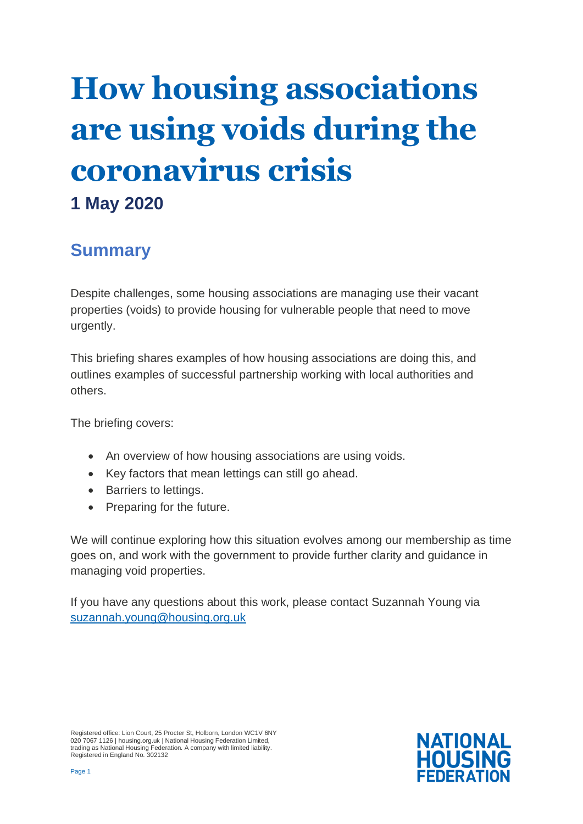# **How housing associations are using voids during the coronavirus crisis**

# **1 May 2020**

## **Summary**

Despite challenges, some housing associations are managing use their vacant properties (voids) to provide housing for vulnerable people that need to move urgently.

This briefing shares examples of how housing associations are doing this, and outlines examples of successful partnership working with local authorities and others.

The briefing covers:

- An overview of how housing associations are using voids.
- Key factors that mean lettings can still go ahead.
- Barriers to lettings.
- Preparing for the future.

We will continue exploring how this situation evolves among our membership as time goes on, and work with the government to provide further clarity and guidance in managing void properties.

If you have any questions about this work, please contact Suzannah Young via [suzannah.young@housing.org.uk](mailto:suzannah.young@housing.org.uk)

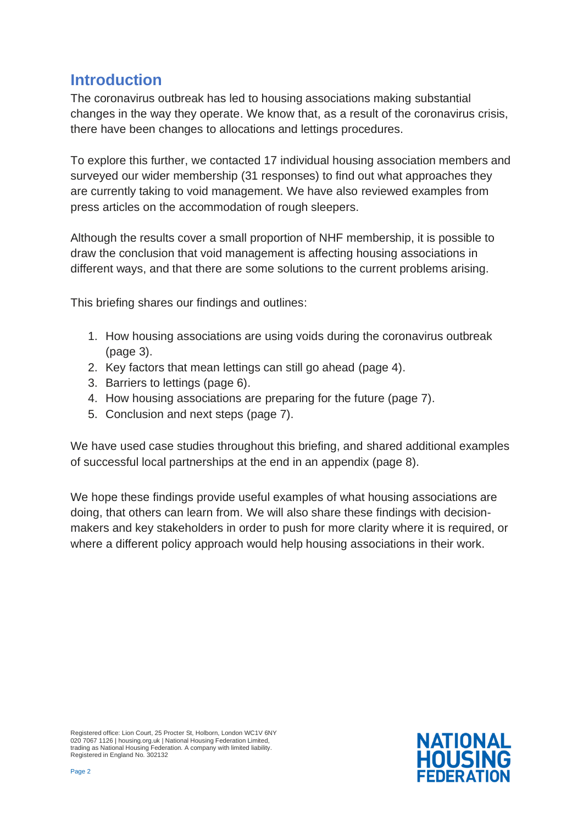#### **Introduction**

The coronavirus outbreak has led to housing associations making substantial changes in the way they operate. We know that, as a result of the coronavirus crisis, there have been changes to allocations and lettings procedures.

To explore this further, we contacted 17 individual housing association members and surveyed our wider membership (31 responses) to find out what approaches they are currently taking to void management. We have also reviewed examples from press articles on the accommodation of rough sleepers.

Although the results cover a small proportion of NHF membership, it is possible to draw the conclusion that void management is affecting housing associations in different ways, and that there are some solutions to the current problems arising.

This briefing shares our findings and outlines:

- 1. How housing associations are using voids during the coronavirus outbreak (page 3).
- 2. Key factors that mean lettings can still go ahead (page 4).
- 3. Barriers to lettings (page 6).
- 4. How housing associations are preparing for the future (page 7).
- 5. Conclusion and next steps (page 7).

We have used case studies throughout this briefing, and shared additional examples of successful local partnerships at the end in an appendix (page 8).

We hope these findings provide useful examples of what housing associations are doing, that others can learn from. We will also share these findings with decisionmakers and key stakeholders in order to push for more clarity where it is required, or where a different policy approach would help housing associations in their work.

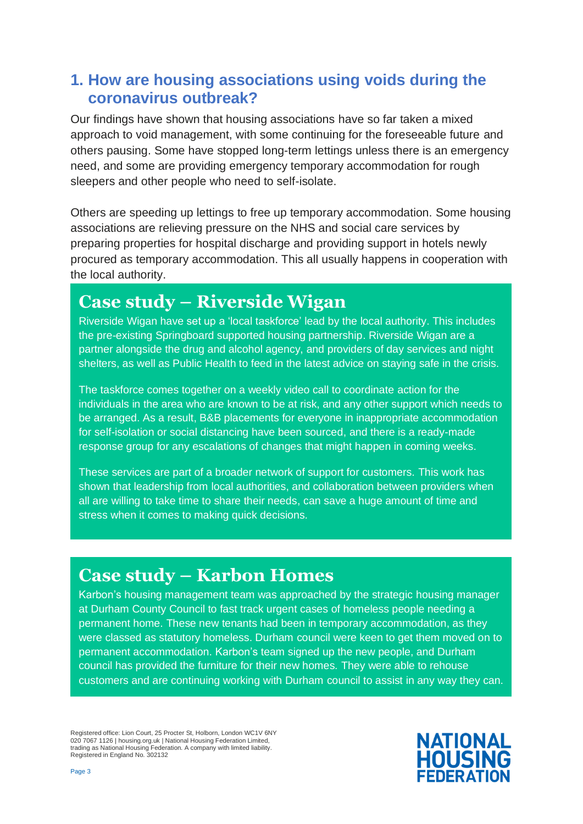#### **1. How are housing associations using voids during the coronavirus outbreak?**

Our findings have shown that housing associations have so far taken a mixed approach to void management, with some continuing for the foreseeable future and others pausing. Some have stopped long-term lettings unless there is an emergency need, and some are providing emergency temporary accommodation for rough sleepers and other people who need to self-isolate.

Others are speeding up lettings to free up temporary accommodation. Some housing associations are relieving pressure on the NHS and social care services by preparing properties for hospital discharge and providing support in hotels newly procured as temporary accommodation. This all usually happens in cooperation with the local authority.

# **Case study – Riverside Wigan**

Riverside Wigan have set up a 'local taskforce' lead by the local authority. This includes the pre-existing Springboard supported housing partnership. Riverside Wigan are a partner alongside the drug and alcohol agency, and providers of day services and night shelters, as well as Public Health to feed in the latest advice on staying safe in the crisis.

The taskforce comes together on a weekly video call to coordinate action for the individuals in the area who are known to be at risk, and any other support which needs to be arranged. As a result, B&B placements for everyone in inappropriate accommodation for self-isolation or social distancing have been sourced, and there is a ready-made response group for any escalations of changes that might happen in coming weeks.

These services are part of a broader network of support for customers. This work has shown that leadership from local authorities, and collaboration between providers when all are willing to take time to share their needs, can save a huge amount of time and stress when it comes to making quick decisions.

## **Case study – Karbon Homes**

Karbon's housing management team was approached by the strategic housing manager at Durham County Council to fast track urgent cases of homeless people needing a permanent home. These new tenants had been in temporary accommodation, as they were classed as statutory homeless. Durham council were keen to get them moved on to permanent accommodation. Karbon's team signed up the new people, and Durham council has provided the furniture for their new homes. They were able to rehouse customers and are continuing working with Durham council to assist in any way they can.

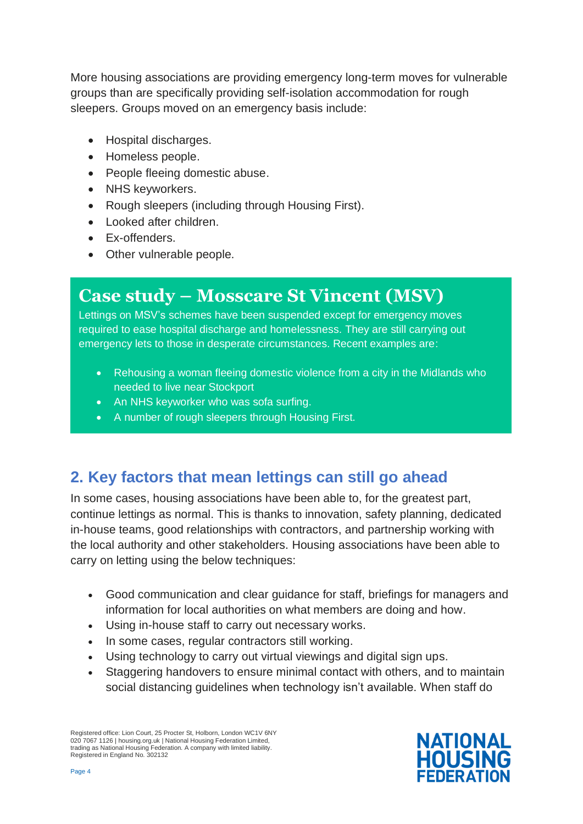More housing associations are providing emergency long-term moves for vulnerable groups than are specifically providing self-isolation accommodation for rough sleepers. Groups moved on an emergency basis include:

- Hospital discharges.
- Homeless people.
- People fleeing domestic abuse.
- NHS keyworkers.
- Rough sleepers (including through Housing First).
- Looked after children.
- Ex-offenders.
- Other vulnerable people.

# **Case study – Mosscare St Vincent (MSV)**

Lettings on MSV's schemes have been suspended except for emergency moves required to ease hospital discharge and homelessness. They are still carrying out emergency lets to those in desperate circumstances. Recent examples are:

- Rehousing a woman fleeing domestic violence from a city in the Midlands who needed to live near Stockport
- An NHS keyworker who was sofa surfing.
- A number of rough sleepers through Housing First.

#### **2. Key factors that mean lettings can still go ahead**

In some cases, housing associations have been able to, for the greatest part, continue lettings as normal. This is thanks to innovation, safety planning, dedicated in-house teams, good relationships with contractors, and partnership working with the local authority and other stakeholders. Housing associations have been able to carry on letting using the below techniques:

- Good communication and clear guidance for staff, briefings for managers and information for local authorities on what members are doing and how.
- Using in-house staff to carry out necessary works.
- In some cases, regular contractors still working.
- Using technology to carry out virtual viewings and digital sign ups.
- Staggering handovers to ensure minimal contact with others, and to maintain social distancing guidelines when technology isn't available. When staff do

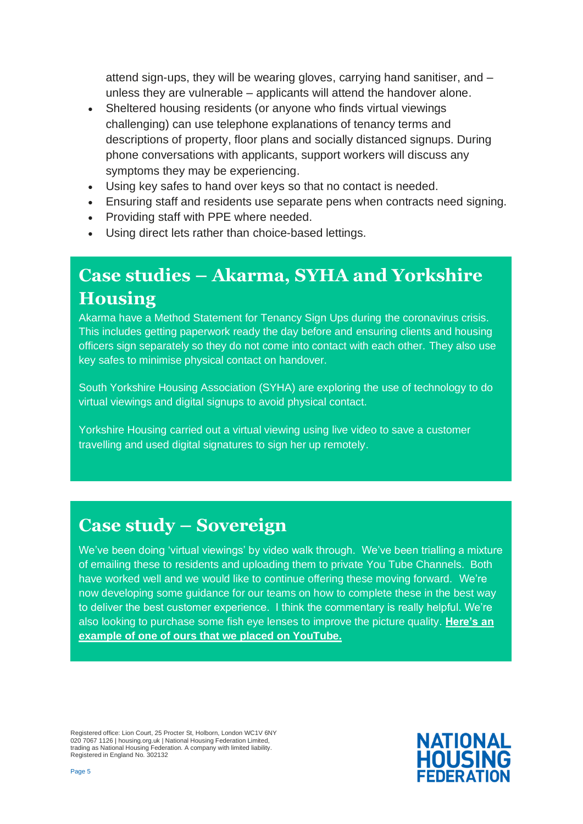attend sign-ups, they will be wearing gloves, carrying hand sanitiser, and – unless they are vulnerable – applicants will attend the handover alone.

- Sheltered housing residents (or anyone who finds virtual viewings challenging) can use telephone explanations of tenancy terms and descriptions of property, floor plans and socially distanced signups. During phone conversations with applicants, support workers will discuss any symptoms they may be experiencing.
- Using key safes to hand over keys so that no contact is needed.
- Ensuring staff and residents use separate pens when contracts need signing.
- Providing staff with PPE where needed.
- Using direct lets rather than choice-based lettings.

# **Case studies – Akarma, SYHA and Yorkshire Housing**

Akarma have a Method Statement for Tenancy Sign Ups during the coronavirus crisis. This includes getting paperwork ready the day before and ensuring clients and housing officers sign separately so they do not come into contact with each other. They also use key safes to minimise physical contact on handover.

South Yorkshire Housing Association (SYHA) are exploring the use of technology to do virtual viewings and digital signups to avoid physical contact.

Yorkshire Housing carried out a virtual viewing using live video to save a customer travelling and used digital signatures to sign her up remotely.

#### **Case study – Sovereign**

We've been doing 'virtual viewings' by video walk through. We've been trialling a mixture of emailing these to residents and uploading them to private You Tube Channels. Both have worked well and we would like to continue offering these moving forward. We're now developing some guidance for our teams on how to complete these in the best way to deliver the best customer experience. I think the commentary is really helpful. We're also looking to purchase some fish eye lenses to improve the picture quality. **[Here's an](https://youtu.be/VQjRXxMT37M)  [example of one of ours that we placed on YouTube.](https://youtu.be/VQjRXxMT37M)**

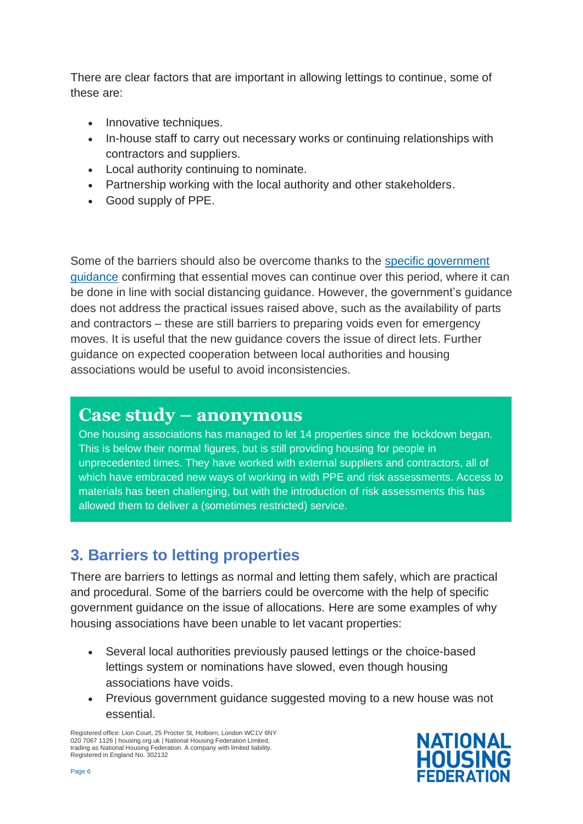There are clear factors that are important in allowing lettings to continue, some of these are:

- Innovative techniques.
- In-house staff to carry out necessary works or continuing relationships with contractors and suppliers.
- Local authority continuing to nominate.
- Partnership working with the local authority and other stakeholders.
- Good supply of PPE.

Some of the barriers should also be overcome thanks to the [specific government](http://www.gov.uk/guidance/coronavirus-covid-19-guidance-for-social-landlords-on-essential-moves)  [guidance](http://www.gov.uk/guidance/coronavirus-covid-19-guidance-for-social-landlords-on-essential-moves) confirming that essential moves can continue over this period, where it can be done in line with social distancing guidance. However, the government's guidance does not address the practical issues raised above, such as the availability of parts and contractors – these are still barriers to preparing voids even for emergency moves. It is useful that the new guidance covers the issue of direct lets. Further guidance on expected cooperation between local authorities and housing associations would be useful to avoid inconsistencies.

#### **Case study – anonymous**

One housing associations has managed to let 14 properties since the lockdown began. This is below their normal figures, but is still providing housing for people in unprecedented times. They have worked with external suppliers and contractors, all of which have embraced new ways of working in with PPE and risk assessments. Access to materials has been challenging, but with the introduction of risk assessments this has allowed them to deliver a (sometimes restricted) service.

#### **3. Barriers to letting properties**

There are barriers to lettings as normal and letting them safely, which are practical and procedural. Some of the barriers could be overcome with the help of specific government guidance on the issue of allocations. Here are some examples of why housing associations have been unable to let vacant properties:

- Several local authorities previously paused lettings or the choice-based lettings system or nominations have slowed, even though housing associations have voids.
- Previous government guidance suggested moving to a new house was not essential.

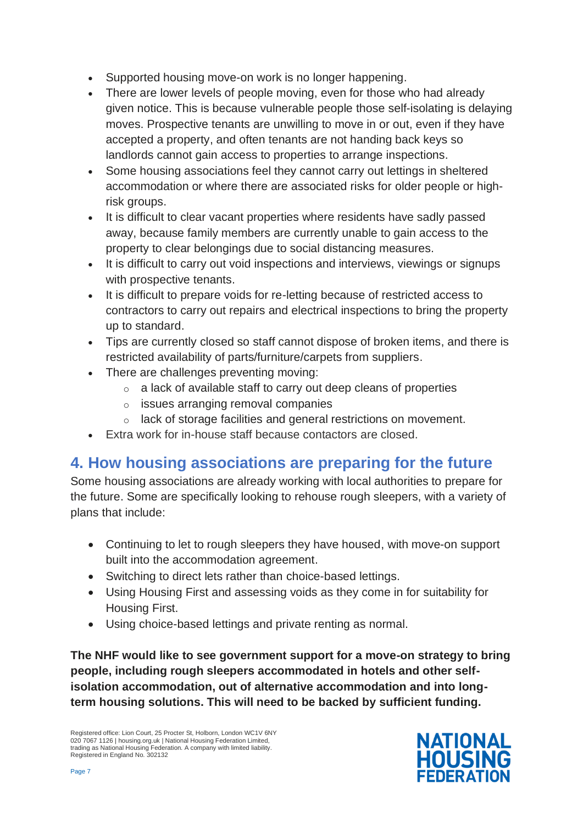- Supported housing move-on work is no longer happening.
- There are lower levels of people moving, even for those who had already given notice. This is because vulnerable people those self-isolating is delaying moves. Prospective tenants are unwilling to move in or out, even if they have accepted a property, and often tenants are not handing back keys so landlords cannot gain access to properties to arrange inspections.
- Some housing associations feel they cannot carry out lettings in sheltered accommodation or where there are associated risks for older people or highrisk groups.
- It is difficult to clear vacant properties where residents have sadly passed away, because family members are currently unable to gain access to the property to clear belongings due to social distancing measures.
- It is difficult to carry out void inspections and interviews, viewings or signups with prospective tenants.
- It is difficult to prepare voids for re-letting because of restricted access to contractors to carry out repairs and electrical inspections to bring the property up to standard.
- Tips are currently closed so staff cannot dispose of broken items, and there is restricted availability of parts/furniture/carpets from suppliers.
- There are challenges preventing moving:
	- $\circ$  a lack of available staff to carry out deep cleans of properties
	- o issues arranging removal companies
	- lack of storage facilities and general restrictions on movement.
- Extra work for in-house staff because contactors are closed.

#### **4. How housing associations are preparing for the future**

Some housing associations are already working with local authorities to prepare for the future. Some are specifically looking to rehouse rough sleepers, with a variety of plans that include:

- Continuing to let to rough sleepers they have housed, with move-on support built into the accommodation agreement.
- Switching to direct lets rather than choice-based lettings.
- Using Housing First and assessing voids as they come in for suitability for Housing First.
- Using choice-based lettings and private renting as normal.

**The NHF would like to see government support for a move-on strategy to bring people, including rough sleepers accommodated in hotels and other selfisolation accommodation, out of alternative accommodation and into longterm housing solutions. This will need to be backed by sufficient funding.**

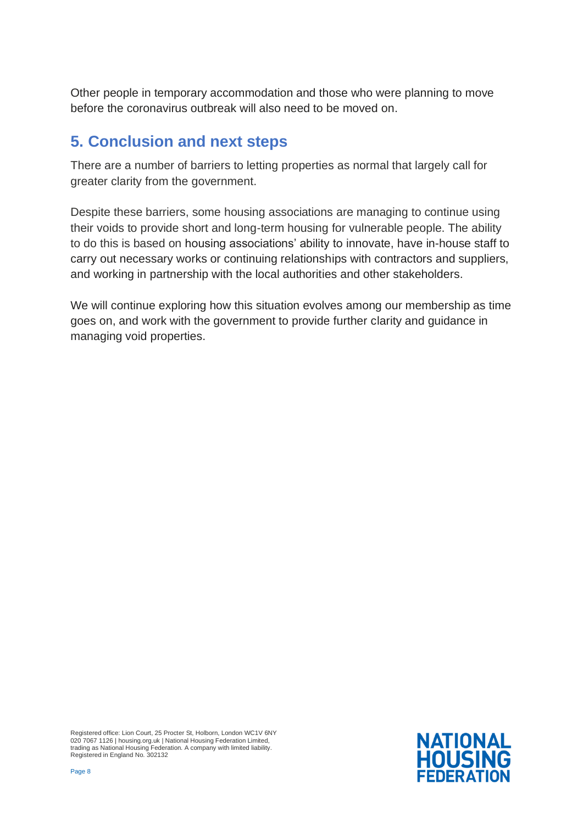Other people in temporary accommodation and those who were planning to move before the coronavirus outbreak will also need to be moved on.

#### **5. Conclusion and next steps**

There are a number of barriers to letting properties as normal that largely call for greater clarity from the government.

Despite these barriers, some housing associations are managing to continue using their voids to provide short and long-term housing for vulnerable people. The ability to do this is based on housing associations' ability to innovate, have in-house staff to carry out necessary works or continuing relationships with contractors and suppliers, and working in partnership with the local authorities and other stakeholders.

We will continue exploring how this situation evolves among our membership as time goes on, and work with the government to provide further clarity and guidance in managing void properties.

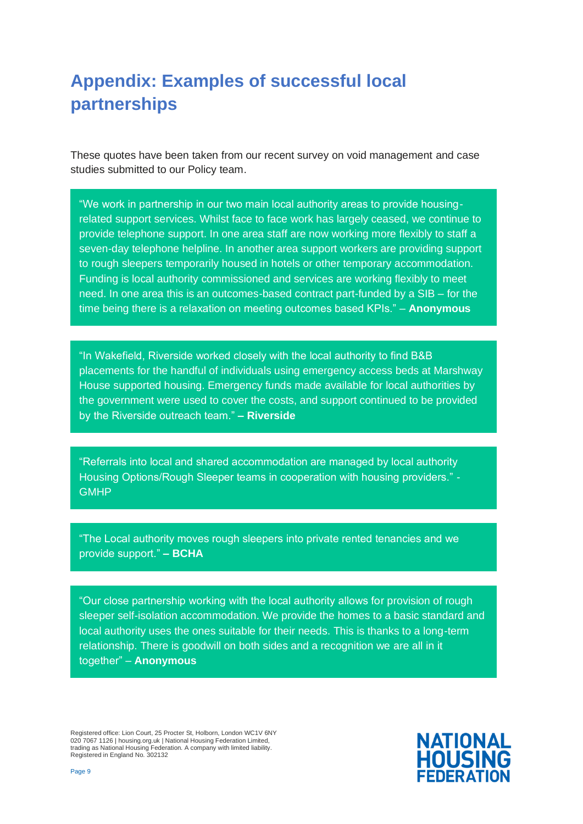# **Appendix: Examples of successful local partnerships**

These quotes have been taken from our recent survey on void management and case studies submitted to our Policy team.

"We work in partnership in our two main local authority areas to provide housingrelated support services. Whilst face to face work has largely ceased, we continue to provide telephone support. In one area staff are now working more flexibly to staff a seven-day telephone helpline. In another area support workers are providing support to rough sleepers temporarily housed in hotels or other temporary accommodation. Funding is local authority commissioned and services are working flexibly to meet need. In one area this is an outcomes-based contract part-funded by a SIB – for the time being there is a relaxation on meeting outcomes based KPIs." – **Anonymous**

"In Wakefield, Riverside worked closely with the local authority to find B&B placements for the handful of individuals using emergency access beds at Marshway House supported housing. Emergency funds made available for local authorities by the government were used to cover the costs, and support continued to be provided by the Riverside outreach team." **– Riverside** 

"Referrals into local and shared accommodation are managed by local authority Housing Options/Rough Sleeper teams in cooperation with housing providers." - **GMHP** 

"The Local authority moves rough sleepers into private rented tenancies and we provide support." **– BCHA**

"Our close partnership working with the local authority allows for provision of rough sleeper self-isolation accommodation. We provide the homes to a basic standard and local authority uses the ones suitable for their needs. This is thanks to a long-term relationship. There is goodwill on both sides and a recognition we are all in it together" – **Anonymous**